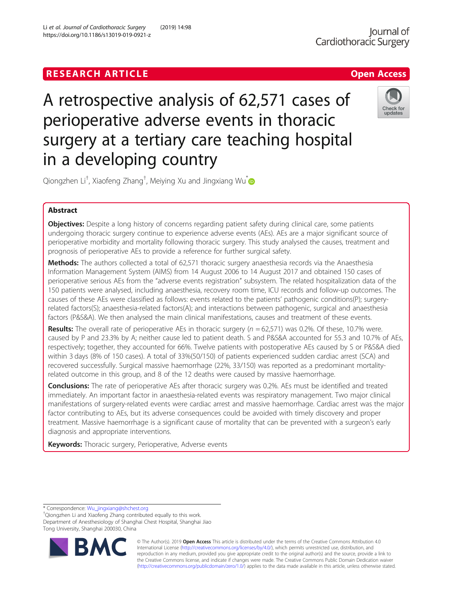Li et al. Journal of Cardiothoracic Surgery (2019) 14:98

# A retrospective analysis of 62,571 cases of perioperative adverse events in thoracic surgery at a tertiary care teaching hospital in a developing country



Qiongzhen Li<sup>†</sup>, Xiaofeng Zhang<sup>†</sup>, Meiying Xu and Jingxiang Wu<sup>[\\*](http://orcid.org/0000-0003-1471-5640)</sup>

## Abstract

**Objectives:** Despite a long history of concerns regarding patient safety during clinical care, some patients undergoing thoracic surgery continue to experience adverse events (AEs). AEs are a major significant source of perioperative morbidity and mortality following thoracic surgery. This study analysed the causes, treatment and prognosis of perioperative AEs to provide a reference for further surgical safety.

Methods: The authors collected a total of 62,571 thoracic surgery anaesthesia records via the Anaesthesia Information Management System (AIMS) from 14 August 2006 to 14 August 2017 and obtained 150 cases of perioperative serious AEs from the "adverse events registration" subsystem. The related hospitalization data of the 150 patients were analysed, including anaesthesia, recovery room time, ICU records and follow-up outcomes. The causes of these AEs were classified as follows: events related to the patients' pathogenic conditions(P); surgeryrelated factors(S); anaesthesia-related factors(A); and interactions between pathogenic, surgical and anaesthesia factors (P&S&A). We then analysed the main clinical manifestations, causes and treatment of these events.

**Results:** The overall rate of perioperative AEs in thoracic surgery  $(n = 62,571)$  was 0.2%. Of these, 10.7% were. caused by P and 23.3% by A; neither cause led to patient death. S and P&S&A accounted for 55.3 and 10.7% of AEs, respectively; together, they accounted for 66%. Twelve patients with postoperative AEs caused by S or P&S&A died within 3 days (8% of 150 cases). A total of 33%(50/150) of patients experienced sudden cardiac arrest (SCA) and recovered successfully. Surgical massive haemorrhage (22%, 33/150) was reported as a predominant mortalityrelated outcome in this group, and 8 of the 12 deaths were caused by massive haemorrhage.

**Conclusions:** The rate of perioperative AEs after thoracic surgery was 0.2%. AEs must be identified and treated immediately. An important factor in anaesthesia-related events was respiratory management. Two major clinical manifestations of surgery-related events were cardiac arrest and massive haemorrhage. Cardiac arrest was the major factor contributing to AEs, but its adverse consequences could be avoided with timely discovery and proper treatment. Massive haemorrhage is a significant cause of mortality that can be prevented with a surgeon's early diagnosis and appropriate interventions.

Keywords: Thoracic surgery, Perioperative, Adverse events

\* Correspondence: [Wu\\_jingxiang@shchest.org](mailto:Wu_jingxiang@shchest.org) †

Qiongzhen Li and Xiaofeng Zhang contributed equally to this work. Department of Anesthesiology of Shanghai Chest Hospital, Shanghai Jiao Tong University, Shanghai 200030, China



© The Author(s). 2019 **Open Access** This article is distributed under the terms of the Creative Commons Attribution 4.0 International License [\(http://creativecommons.org/licenses/by/4.0/](http://creativecommons.org/licenses/by/4.0/)), which permits unrestricted use, distribution, and reproduction in any medium, provided you give appropriate credit to the original author(s) and the source, provide a link to the Creative Commons license, and indicate if changes were made. The Creative Commons Public Domain Dedication waiver [\(http://creativecommons.org/publicdomain/zero/1.0/](http://creativecommons.org/publicdomain/zero/1.0/)) applies to the data made available in this article, unless otherwise stated.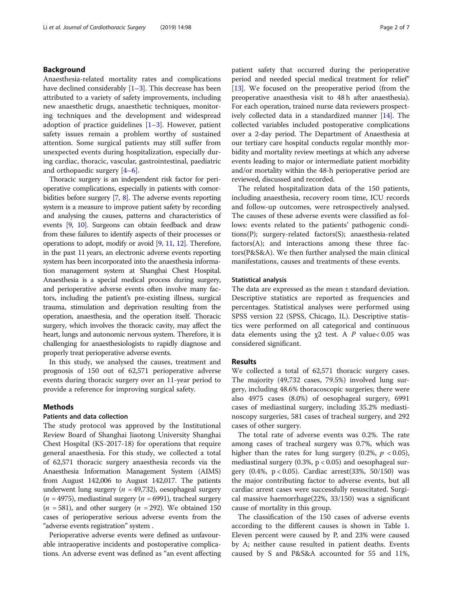### Background

Anaesthesia-related mortality rates and complications have declined considerably  $[1-3]$  $[1-3]$  $[1-3]$ . This decrease has been attributed to a variety of safety improvements, including new anaesthetic drugs, anaesthetic techniques, monitoring techniques and the development and widespread adoption of practice guidelines [\[1](#page-6-0)–[3](#page-6-0)]. However, patient safety issues remain a problem worthy of sustained attention. Some surgical patients may still suffer from unexpected events during hospitalization, especially during cardiac, thoracic, vascular, gastrointestinal, paediatric and orthopaedic surgery [\[4](#page-6-0)–[6](#page-6-0)].

Thoracic surgery is an independent risk factor for perioperative complications, especially in patients with comorbidities before surgery [\[7,](#page-6-0) [8\]](#page-6-0). The adverse events reporting system is a measure to improve patient safety by recording and analysing the causes, patterns and characteristics of events [[9,](#page-6-0) [10](#page-6-0)]. Surgeons can obtain feedback and draw from these failures to identify aspects of their processes or operations to adopt, modify or avoid [\[9,](#page-6-0) [11](#page-6-0), [12\]](#page-6-0). Therefore, in the past 11 years, an electronic adverse events reporting system has been incorporated into the anaesthesia information management system at Shanghai Chest Hospital. Anaesthesia is a special medical process during surgery, and perioperative adverse events often involve many factors, including the patient's pre-existing illness, surgical trauma, stimulation and deprivation resulting from the operation, anaesthesia, and the operation itself. Thoracic surgery, which involves the thoracic cavity, may affect the heart, lungs and autonomic nervous system. Therefore, it is challenging for anaesthesiologists to rapidly diagnose and properly treat perioperative adverse events.

In this study, we analysed the causes, treatment and prognosis of 150 out of 62,571 perioperative adverse events during thoracic surgery over an 11-year period to provide a reference for improving surgical safety.

#### Methods

#### Patients and data collection

The study protocol was approved by the Institutional Review Board of Shanghai Jiaotong University Shanghai Chest Hospital (KS-2017-18) for operations that require general anaesthesia. For this study, we collected a total of 62,571 thoracic surgery anaesthesia records via the Anaesthesia Information Management System (AIMS) from August 142,006 to August 142,017. The patients underwent lung surgery ( $n = 49,732$ ), oesophageal surgery  $(n = 4975)$ , mediastinal surgery  $(n = 6991)$ , tracheal surgery  $(n = 581)$ , and other surgery  $(n = 292)$ . We obtained 150 cases of perioperative serious adverse events from the "adverse events registration" system .

Perioperative adverse events were defined as unfavourable intraoperative incidents and postoperative complications. An adverse event was defined as "an event affecting patient safety that occurred during the perioperative period and needed special medical treatment for relief" [[13](#page-6-0)]. We focused on the preoperative period (from the preoperative anaesthesia visit to 48 h after anaesthesia). For each operation, trained nurse data reviewers prospectively collected data in a standardized manner [\[14\]](#page-6-0). The collected variables included postoperative complications over a 2-day period. The Department of Anaesthesia at our tertiary care hospital conducts regular monthly morbidity and mortality review meetings at which any adverse events leading to major or intermediate patient morbidity and/or mortality within the 48-h perioperative period are reviewed, discussed and recorded.

The related hospitalization data of the 150 patients, including anaesthesia, recovery room time, ICU records and follow-up outcomes, were retrospectively analysed. The causes of these adverse events were classified as follows: events related to the patients' pathogenic conditions(P); surgery-related factors(S); anaesthesia-related factors(A); and interactions among these three factors(P&S&A). We then further analysed the main clinical manifestations, causes and treatments of these events.

#### Statistical analysis

The data are expressed as the mean ± standard deviation. Descriptive statistics are reported as frequencies and percentages. Statistical analyses were performed using SPSS version 22 (SPSS, Chicago, IL). Descriptive statistics were performed on all categorical and continuous data elements using the  $\chi$ 2 test. A P value< 0.05 was considered significant.

#### Results

We collected a total of 62,571 thoracic surgery cases. The majority (49,732 cases, 79.5%) involved lung surgery, including 48.6% thoracoscopic surgeries; there were also 4975 cases (8.0%) of oesophageal surgery, 6991 cases of mediastinal surgery, including 35.2% mediastinoscopy surgeries, 581 cases of tracheal surgery, and 292 cases of other surgery.

The total rate of adverse events was 0.2%. The rate among cases of tracheal surgery was 0.7%, which was higher than the rates for lung surgery (0.2%,  $p < 0.05$ ), mediastinal surgery  $(0.3\% , p < 0.05)$  and oesophageal surgery (0.4%, p < 0.05). Cardiac arrest(33%, 50/150) was the major contributing factor to adverse events, but all cardiac arrest cases were successfully resuscitated. Surgical massive haemorrhage(22%, 33/150) was a significant cause of mortality in this group.

The classification of the 150 cases of adverse events according to the different causes is shown in Table [1](#page-2-0). Eleven percent were caused by P, and 23% were caused by A; neither cause resulted in patient deaths. Events caused by S and P&S&A accounted for 55 and 11%,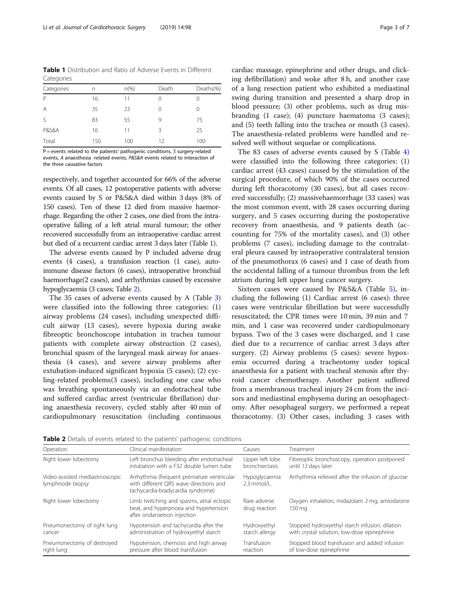<span id="page-2-0"></span>Table 1 Distribution and Ratio of Adverse Events in Different Categories

| $\tilde{\phantom{a}}$ |     |          |       |           |
|-----------------------|-----|----------|-------|-----------|
| Categories            | n   | $n(\% )$ | Death | Deaths(%) |
| P                     | 16  | 11       |       |           |
| A                     | 35  | 23       |       |           |
| $\mathcal{S}$         | 83  | 55       | 9     | 75        |
| <b>P&amp;S&amp;A</b>  | 16  | 11       | ζ     | 25        |
| Total                 | 150 | 100      | 12    | 100       |

P = events related to the patients' pathogenic conditions, S surgery-related events, A anaesthesia -related events, P&S&A events related to interaction of the three causative factors

respectively, and together accounted for 66% of the adverse events. Of all cases, 12 postoperative patients with adverse events caused by S or P&S&A died within 3 days (8% of 150 cases). Ten of these 12 died from massive haemorrhage. Regarding the other 2 cases, one died from the intraoperative falling of a left atrial mural tumour; the other recovered successfully from an intraoperative cardiac arrest but died of a recurrent cardiac arrest 3 days later (Table 1).

The adverse events caused by P included adverse drug events (4 cases), a transfusion reaction (1 case), autoimmune disease factors (6 cases), intraoperative bronchial haemorrhage(2 cases), and arrhythmias caused by excessive hypoglycaemia (3 cases; Table 2).

The 35 cases of adverse events caused by A (Table [3](#page-3-0)) were classified into the following three categories: (1) airway problems (24 cases), including unexpected difficult airway (13 cases), severe hypoxia during awake fibreoptic bronchoscope intubation in trachea tumour patients with complete airway obstruction (2 cases), bronchial spasm of the laryngeal mask airway for anaesthesia (4 cases), and severe airway problems after extubation-induced significant hypoxia (5 cases); (2) cycling-related problems(3 cases), including one case who was breathing spontaneously via an endotracheal tube and suffered cardiac arrest (ventricular fibrillation) during anaesthesia recovery, cycled stably after 40 min of cardiopulmonary resuscitation (including continuous

cardiac massage, epinephrine and other drugs, and clicking defibrillation) and woke after 8 h, and another case of a lung resection patient who exhibited a mediastinal swing during transition and presented a sharp drop in blood pressure; (3) other problems, such as drug misbranding (1 case); (4) puncture haematoma (3 cases); and (5) teeth falling into the trachea or mouth (3 cases). The anaesthesia-related problems were handled and resolved well without sequelae or complications.

The 83 cases of adverse events caused by S (Table [4](#page-3-0)) were classified into the following three categories: (1) cardiac arrest (43 cases) caused by the stimulation of the surgical procedure, of which 90% of the cases occurred during left thoracotomy (30 cases), but all cases recovered successfully; (2) massivehaemorrhage (33 cases) was the most common event, with 28 cases occurring during surgery, and 5 cases occurring during the postoperative recovery from anaesthesia, and 9 patients death (accounting for 75% of the mortality cases), and (3) other problems (7 cases), including damage to the contralateral pleura caused by intraoperative contralateral tension of the pneumothorax (6 cases) and 1 case of death from the accidental falling of a tumour thrombus from the left atrium during left upper lung cancer surgery.

Sixteen cases were caused by P&S&A (Table [5\)](#page-4-0), including the following (1) Cardiac arrest (6 cases): three cases were ventricular fibrillation but were successfully resuscitated; the CPR times were 10 min, 39 min and 7 min, and 1 case was recovered under cardiopulmonary bypass. Two of the 3 cases were discharged, and 1 case died due to a recurrence of cardiac arrest 3 days after surgery. (2) Airway problems (5 cases): severe hypoxemia occurred during a tracheotomy under topical anaesthesia for a patient with tracheal stenosis after thyroid cancer chemotherapy. Another patient suffered from a membranous tracheal injury 24 cm from the incisors and mediastinal emphysema during an oesophagectomy. After oesophageal surgery, we performed a repeat thoracotomy. (3) Other cases, including 3 cases with

Table 2 Details of events related to the patients' pathogenic conditions

| Operation                                           | Clinical manifestation                                                                                                    | Causes                        | Treatment                                               |
|-----------------------------------------------------|---------------------------------------------------------------------------------------------------------------------------|-------------------------------|---------------------------------------------------------|
| Right lower lobectomy                               | Left bronchus bleeding after endotracheal                                                                                 | Upper left lobe               | Fibreoptic bronchoscopy, operation postponed            |
|                                                     | intubation with a F32 double lumen tube                                                                                   | bronchiectasis                | until 12 days later                                     |
| Video-assisted mediastinoscopic<br>lymphnode biopsy | Arrhythmia (frequent premature ventricular<br>with different ORS wave directions and<br>tachycardia-bradycardia syndrome) | Hypoglycaemia<br>$2.3$ mmol/l | Arrhythmia relieved after the infusion of glucose       |
| Right lower lobectomy                               | Limb twitching and spasms, atrial ectopic<br>beat, and hyperpnoea and hypertension<br>after ondansetron injection         | Rare adverse<br>drug reaction | Oxygen inhalation, midazolam 2 mg, amiodarone<br>150 mg |
| Pneumonectomy of right lung                         | Hypotension and tachycardia after the                                                                                     | Hydroxyethyl                  | Stopped hydroxyethyl starch infusion, dilation          |
| cancer                                              | administration of hydroxyethyl starch                                                                                     | starch allergy                | with crystal solution, low-dose epinephrine             |
| Pneumonectomy of destroyed                          | Hypotension, chemosis and high airway                                                                                     | Transfusion                   | Stopped blood transfusion and added infusion            |
| right lung                                          | pressure after blood transfusion                                                                                          | reaction                      | of low-dose epinephrine                                 |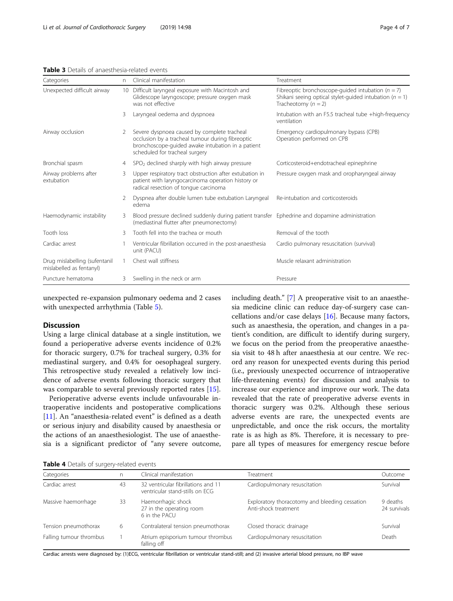<span id="page-3-0"></span>Table 3 Details of anaesthesia-related events

| Categories                                                | n.      | Clinical manifestation                                                                                                                                                                 | Treatment                                                                                                                                     |
|-----------------------------------------------------------|---------|----------------------------------------------------------------------------------------------------------------------------------------------------------------------------------------|-----------------------------------------------------------------------------------------------------------------------------------------------|
| Unexpected difficult airway                               | $10-10$ | Difficult laryngeal exposure with Macintosh and<br>Glidescope laryngoscope; pressure oxygen mask<br>was not effective                                                                  | Fibreoptic bronchoscope-quided intubation ( $n = 7$ )<br>Shikani seeing optical stylet-guided intubation ( $n = 1$ )<br>Tracheotomy $(n = 2)$ |
|                                                           | 3       | Laryngeal oedema and dyspnoea                                                                                                                                                          | Intubation with an F5.5 tracheal tube +high-frequency<br>ventilation                                                                          |
| Airway occlusion                                          | 2       | Severe dyspnoea caused by complete tracheal<br>occlusion by a tracheal tumour during fibreoptic<br>bronchoscope-guided awake intubation in a patient<br>scheduled for tracheal surgery | Emergency cardiopulmonary bypass (CPB)<br>Operation performed on CPB                                                                          |
| Bronchial spasm                                           | 4       | $SPO2$ declined sharply with high airway pressure                                                                                                                                      | Corticosteroid+endotracheal epinephrine                                                                                                       |
| Airway problems after<br>extubation                       | 3       | Upper respiratory tract obstruction after extubation in<br>patient with laryngocarcinoma operation history or<br>radical resection of tonque carcinoma                                 | Pressure oxygen mask and oropharyngeal airway                                                                                                 |
|                                                           |         | Dyspnea after double lumen tube extubation Laryngeal<br>edema                                                                                                                          | Re-intubation and corticosteroids                                                                                                             |
| Haemodynamic instability                                  | 3       | Blood pressure declined suddenly during patient transfer Ephedrine and dopamine administration<br>(mediastinal flutter after pneumonectomy)                                            |                                                                                                                                               |
| Tooth loss                                                | 3       | Tooth fell into the trachea or mouth                                                                                                                                                   | Removal of the tooth                                                                                                                          |
| Cardiac arrest                                            |         | Ventricular fibrillation occurred in the post-anaesthesia<br>unit (PACU)                                                                                                               | Cardio pulmonary resuscitation (survival)                                                                                                     |
| Drug mislabelling (sufentanil<br>mislabelled as fentanyl) |         | Chest wall stiffness                                                                                                                                                                   | Muscle relaxant administration                                                                                                                |
| Puncture hematoma                                         |         | Swelling in the neck or arm                                                                                                                                                            | Pressure                                                                                                                                      |

unexpected re-expansion pulmonary oedema and 2 cases with unexpected arrhythmia (Table [5\)](#page-4-0).

#### Discussion

Using a large clinical database at a single institution, we found a perioperative adverse events incidence of 0.2% for thoracic surgery, 0.7% for tracheal surgery, 0.3% for mediastinal surgery, and 0.4% for oesophageal surgery. This retrospective study revealed a relatively low incidence of adverse events following thoracic surgery that was comparable to several previously reported rates [\[15\]](#page-6-0).

Perioperative adverse events include unfavourable intraoperative incidents and postoperative complications [[11\]](#page-6-0). An "anaesthesia-related event" is defined as a death or serious injury and disability caused by anaesthesia or the actions of an anaesthesiologist. The use of anaesthesia is a significant predictor of "any severe outcome, including death." [[7](#page-6-0)] A preoperative visit to an anaesthesia medicine clinic can reduce day-of-surgery case cancellations and/or case delays [[16\]](#page-6-0). Because many factors, such as anaesthesia, the operation, and changes in a patient's condition, are difficult to identify during surgery, we focus on the period from the preoperative anaesthesia visit to 48 h after anaesthesia at our centre. We record any reason for unexpected events during this period (i.e., previously unexpected occurrence of intraoperative life-threatening events) for discussion and analysis to increase our experience and improve our work. The data revealed that the rate of preoperative adverse events in thoracic surgery was 0.2%. Although these serious adverse events are rare, the unexpected events are unpredictable, and once the risk occurs, the mortality rate is as high as 8%. Therefore, it is necessary to prepare all types of measures for emergency rescue before

Table 4 Details of surgens-related events

| Categories              | n. | Clinical manifestation                                                 | Treatment                                                              | Outcome                  |  |
|-------------------------|----|------------------------------------------------------------------------|------------------------------------------------------------------------|--------------------------|--|
| Cardiac arrest          | 43 | 32 ventricular fibrillations and 11<br>ventricular stand-stills on ECG | Cardiopulmonary resuscitation                                          | Survival                 |  |
| Massive haemorrhage     | 33 | Haemorrhagic shock<br>27 in the operating room<br>6 in the PACU        | Exploratory thoracotomy and bleeding cessation<br>Anti-shock treatment | 9 deaths<br>24 survivals |  |
| Tension pneumothorax    | 6  | Contralateral tension pneumothorax                                     | Closed thoracic drainage                                               | Survival                 |  |
| Falling tumour thrombus |    | Atrium episporium tumour thrombus<br>falling off                       | Cardiopulmonary resuscitation                                          | Death                    |  |

Cardiac arrests were diagnosed by: (1)ECG, ventricular fibrillation or ventricular stand-still; and (2) invasive arterial blood pressure, no IBP wave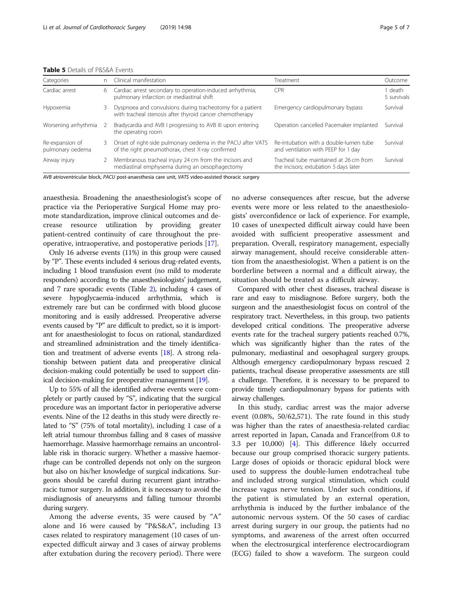<span id="page-4-0"></span>

| <b>Table 5</b> Details of P&S&A Events |
|----------------------------------------|
|----------------------------------------|

| Categories                          | n. | Clinical manifestation                                                                                                | Treatment                                                                       | Outcome              |
|-------------------------------------|----|-----------------------------------------------------------------------------------------------------------------------|---------------------------------------------------------------------------------|----------------------|
| Cardiac arrest                      | 6  | Cardiac arrest secondary to operation-induced arrhythmia,<br>pulmonary infarction or mediastinal shift                | <b>CPR</b>                                                                      | death<br>5 survivals |
| Hypoxemia                           | 3. | Dyspnoea and convulsions during tracheotomy for a patient<br>with tracheal stenosis after thyroid cancer chemotherapy | Emergency cardiopulmonary bypass                                                | Survival             |
| Worsening arrhythmia                |    | Bradycardia and AVB I progressing to AVB III upon entering<br>the operating room                                      | Operation cancelled Pacemaker implanted                                         | Survival             |
| Re-expansion of<br>pulmonary oedema | 3  | Onset of right-side pulmonary oedema in the PACU after VATS<br>of the right pneumothorax, chest X-ray confirmed       | Re-intubation with a double-lumen tube<br>and ventilation with PEEP for 1 day   | Survival             |
| Airway injury                       |    | Membranous tracheal injury 24 cm from the incisors and<br>mediastinal emphysema during an oesophagectomy              | Tracheal tube maintained at 26 cm from<br>the incisors; extubation 5 days later | Survival             |

AVB atrioventricular block, PACU post-anaesthesia care unit, VATS video-assisted thoracic surgery

anaesthesia. Broadening the anaesthesiologist's scope of practice via the Perioperative Surgical Home may promote standardization, improve clinical outcomes and decrease resource utilization by providing greater patient-centred continuity of care throughout the preoperative, intraoperative, and postoperative periods [[17](#page-6-0)].

Only 16 adverse events (11%) in this group were caused by "P". These events included 4 serious drug-related events, including 1 blood transfusion event (no mild to moderate responders) according to the anaesthesiologists' judgement, and 7 rare sporadic events (Table [2](#page-2-0)), including 4 cases of severe hypoglycaemia-induced arrhythmia, which is extremely rare but can be confirmed with blood glucose monitoring and is easily addressed. Preoperative adverse events caused by "P" are difficult to predict, so it is important for anaesthesiologist to focus on rational, standardized and streamlined administration and the timely identification and treatment of adverse events [\[18\]](#page-6-0). A strong relationship between patient data and preoperative clinical decision-making could potentially be used to support clinical decision-making for preoperative management [[19](#page-6-0)].

Up to 55% of all the identified adverse events were completely or partly caused by "S", indicating that the surgical procedure was an important factor in perioperative adverse events. Nine of the 12 deaths in this study were directly related to "S" (75% of total mortality), including 1 case of a left atrial tumour thrombus falling and 8 cases of massive haemorrhage. Massive haemorrhage remains an uncontrollable risk in thoracic surgery. Whether a massive haemorrhage can be controlled depends not only on the surgeon but also on his/her knowledge of surgical indications. Surgeons should be careful during recurrent giant intrathoracic tumor surgery. In addition, it is necessary to avoid the misdiagnosis of aneurysms and falling tumour thrombi during surgery.

Among the adverse events, 35 were caused by "A" alone and 16 were caused by "P&S&A", including 13 cases related to respiratory management (10 cases of unexpected difficult airway and 3 cases of airway problems after extubation during the recovery period). There were

no adverse consequences after rescue, but the adverse events were more or less related to the anaesthesiologists' overconfidence or lack of experience. For example, 10 cases of unexpected difficult airway could have been avoided with sufficient preoperative assessment and preparation. Overall, respiratory management, especially airway management, should receive considerable attention from the anaesthesiologist. When a patient is on the borderline between a normal and a difficult airway, the situation should be treated as a difficult airway.

Compared with other chest diseases, tracheal disease is rare and easy to misdiagnose. Before surgery, both the surgeon and the anaesthesiologist focus on control of the respiratory tract. Nevertheless, in this group, two patients developed critical conditions. The preoperative adverse events rate for the tracheal surgery patients reached 0.7%, which was significantly higher than the rates of the pulmonary, mediastinal and oesophageal surgery groups. Although emergency cardiopulmonary bypass rescued 2 patients, tracheal disease preoperative assessments are still a challenge. Therefore, it is necessary to be prepared to provide timely cardiopulmonary bypass for patients with airway challenges.

In this study, cardiac arrest was the major adverse event (0.08%, 50/62,571). The rate found in this study was higher than the rates of anaesthesia-related cardiac arrest reported in Japan, Canada and France(from 0.8 to 3.3 per 10,000) [\[4](#page-6-0)]. This difference likely occurred because our group comprised thoracic surgery patients. Large doses of opioids or thoracic epidural block were used to suppress the double-lumen endotracheal tube and included strong surgical stimulation, which could increase vagus nerve tension. Under such conditions, if the patient is stimulated by an external operation, arrhythmia is induced by the further imbalance of the autonomic nervous system. Of the 50 cases of cardiac arrest during surgery in our group, the patients had no symptoms, and awareness of the arrest often occurred when the electrosurgical interference electrocardiogram (ECG) failed to show a waveform. The surgeon could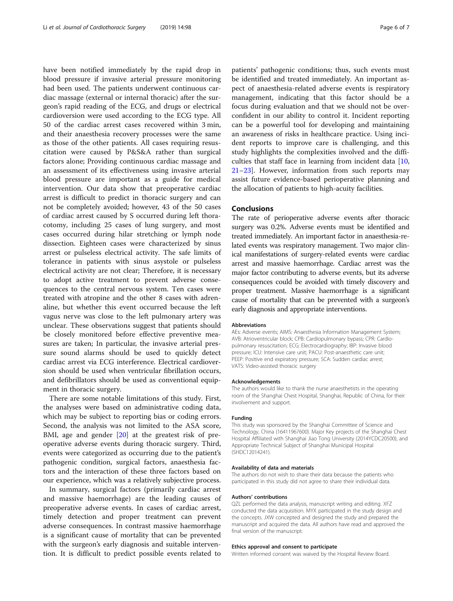have been notified immediately by the rapid drop in blood pressure if invasive arterial pressure monitoring had been used. The patients underwent continuous cardiac massage (external or internal thoracic) after the surgeon's rapid reading of the ECG, and drugs or electrical cardioversion were used according to the ECG type. All 50 of the cardiac arrest cases recovered within 3 min, and their anaesthesia recovery processes were the same as those of the other patients. All cases requiring resuscitation were caused by P&S&A rather than surgical factors alone; Providing continuous cardiac massage and an assessment of its effectiveness using invasive arterial blood pressure are important as a guide for medical intervention. Our data show that preoperative cardiac arrest is difficult to predict in thoracic surgery and can not be completely avoided; however, 43 of the 50 cases of cardiac arrest caused by S occurred during left thoracotomy, including 25 cases of lung surgery, and most cases occurred during hilar stretching or lymph node dissection. Eighteen cases were characterized by sinus arrest or pulseless electrical activity. The safe limits of tolerance in patients with sinus asystole or pulseless electrical activity are not clear; Therefore, it is necessary to adopt active treatment to prevent adverse consequences to the central nervous system. Ten cases were treated with atropine and the other 8 cases with adrenaline, but whether this event occurred because the left vagus nerve was close to the left pulmonary artery was unclear. These observations suggest that patients should be closely monitored before effective preventive measures are taken; In particular, the invasive arterial pressure sound alarms should be used to quickly detect cardiac arrest via ECG interference. Electrical cardioversion should be used when ventricular fibrillation occurs, and defibrillators should be used as conventional equipment in thoracic surgery.

There are some notable limitations of this study. First, the analyses were based on administrative coding data, which may be subject to reporting bias or coding errors. Second, the analysis was not limited to the ASA score, BMI, age and gender [\[20\]](#page-6-0) at the greatest risk of preoperative adverse events during thoracic surgery. Third, events were categorized as occurring due to the patient's pathogenic condition, surgical factors, anaesthesia factors and the interaction of these three factors based on our experience, which was a relatively subjective process.

In summary, surgical factors (primarily cardiac arrest and massive haemorrhage) are the leading causes of preoperative adverse events. In cases of cardiac arrest, timely detection and proper treatment can prevent adverse consequences. In contrast massive haemorrhage is a significant cause of mortality that can be prevented with the surgeon's early diagnosis and suitable intervention. It is difficult to predict possible events related to

patients' pathogenic conditions; thus, such events must be identified and treated immediately. An important aspect of anaesthesia-related adverse events is respiratory management, indicating that this factor should be a focus during evaluation and that we should not be overconfident in our ability to control it. Incident reporting can be a powerful tool for developing and maintaining an awareness of risks in healthcare practice. Using incident reports to improve care is challenging, and this study highlights the complexities involved and the difficulties that staff face in learning from incident data [[10](#page-6-0), [21](#page-6-0)–[23](#page-6-0)]. However, information from such reports may assist future evidence-based perioperative planning and the allocation of patients to high-acuity facilities.

#### Conclusions

The rate of perioperative adverse events after thoracic surgery was 0.2%. Adverse events must be identified and treated immediately. An important factor in anaesthesia-related events was respiratory management. Two major clinical manifestations of surgery-related events were cardiac arrest and massive haemorrhage. Cardiac arrest was the major factor contributing to adverse events, but its adverse consequences could be avoided with timely discovery and proper treatment. Massive haemorrhage is a significant cause of mortality that can be prevented with a surgeon's early diagnosis and appropriate interventions.

#### Abbreviations

AEs: Adverse events; AIMS: Anaesthesia Information Management System; AVB: Atrioventricular block; CPB: Cardiopulmonary bypass; CPR: Cardiopulmonary resuscitation; ECG: Electrocardiography; IBP: Invasive blood pressure; ICU: Intensive care unit; PACU: Post-anaesthetic care unit; PEEP: Positive end expiratory pressure; SCA: Sudden cardiac arrest; VATS: Video-assisted thoracic surgery

#### Acknowledgements

The authors would like to thank the nurse anaesthetists in the operating room of the Shanghai Chest Hospital, Shanghai, Republic of China, for their involvement and support.

#### Funding

This study was sponsored by the Shanghai Committee of Science and Technology, China (16411967600). Major Key projects of the Shanghai Chest Hospital Affiliated with Shanghai Jiao Tong University (2014YCDC20500), and Appropriate Technical Subject of Shanghai Municipal Hospital (SHDC12014241).

#### Availability of data and materials

The authors do not wish to share their data because the patients who participated in this study did not agree to share their individual data.

#### Authors' contributions

QZL performed the data analysis, manuscript writing and editing. XFZ conducted the data acquisition. MYX participated in the study design and the concepts. JXW concepted and designed the study and prepared the manuscript and acquired the data. All authors have read and approved the final version of the manuscript.

#### Ethics approval and consent to participate

Written informed consent was waived by the Hospital Review Board.